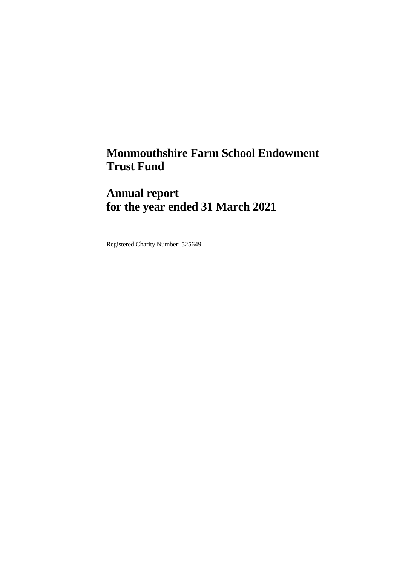# **Monmouthshire Farm School Endowment Trust Fund**

# **Annual report for the year ended 31 March 2021**

Registered Charity Number: 525649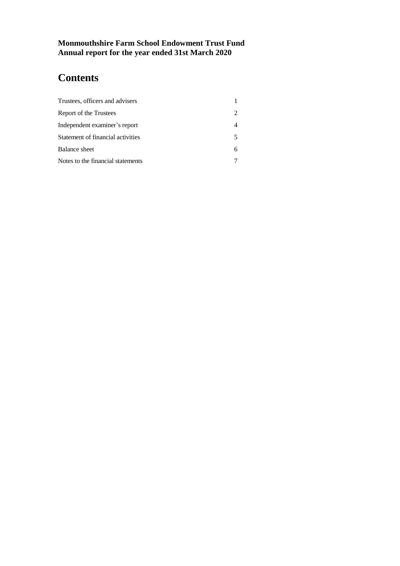# **Contents**

| Trustees, officers and advisers   |  |
|-----------------------------------|--|
| Report of the Trustees            |  |
| Independent examiner's report     |  |
| Statement of financial activities |  |
| Balance sheet                     |  |
| Notes to the financial statements |  |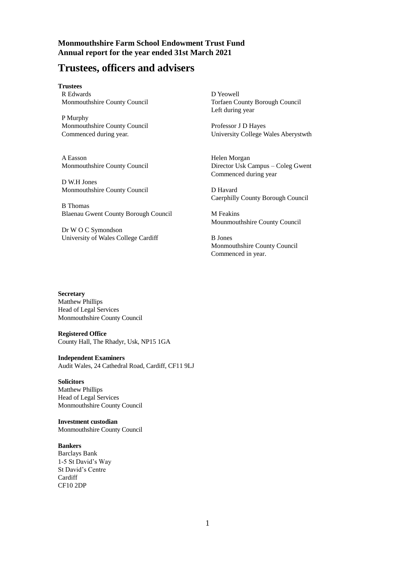# **Trustees, officers and advisers**

**Trustees** R Edwards Monmouthshire County Council

P Murphy Monmouthshire County Council Commenced during year.

A Easson Monmouthshire County Council

D W.H Jones Monmouthshire County Council

B Thomas Blaenau Gwent County Borough Council

Dr W O C Symondson University of Wales College Cardiff D Yeowell Torfaen County Borough Council Left during year

Professor J D Hayes University College Wales Aberystwth

Helen Morgan Director Usk Campus – Coleg Gwent Commenced during year

D Havard Caerphilly County Borough Council

M Feakins Mounmouthshire County Council

B Jones Monmouthshire County Council Commenced in year.

**Secretary** Matthew Phillips Head of Legal Services Monmouthshire County Council

**Registered Office** County Hall, The Rhadyr, Usk, NP15 1GA

**Independent Examiners**

Audit Wales, 24 Cathedral Road, Cardiff, CF11 9LJ

### **Solicitors**

Matthew Phillips Head of Legal Services Monmouthshire County Council

**Investment custodian** Monmouthshire County Council

#### **Bankers**

Barclays Bank 1-5 St David's Way St David's Centre **Cardiff** CF10 2DP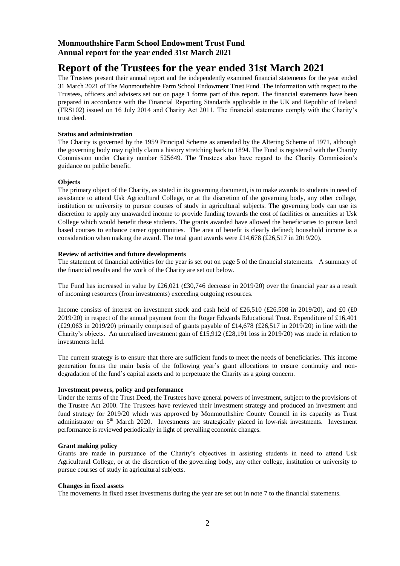# **Report of the Trustees for the year ended 31st March 2021**

The Trustees present their annual report and the independently examined financial statements for the year ended 31 March 2021 of The Monmouthshire Farm School Endowment Trust Fund. The information with respect to the Trustees, officers and advisers set out on page 1 forms part of this report. The financial statements have been prepared in accordance with the Financial Reporting Standards applicable in the UK and Republic of Ireland (FRS102) issued on 16 July 2014 and Charity Act 2011. The financial statements comply with the Charity's trust deed.

### **Status and administration**

The Charity is governed by the 1959 Principal Scheme as amended by the Altering Scheme of 1971, although the governing body may rightly claim a history stretching back to 1894. The Fund is registered with the Charity Commission under Charity number 525649. The Trustees also have regard to the Charity Commission's guidance on public benefit.

### **Objects**

The primary object of the Charity, as stated in its governing document, is to make awards to students in need of assistance to attend Usk Agricultural College, or at the discretion of the governing body, any other college, institution or university to pursue courses of study in agricultural subjects. The governing body can use its discretion to apply any unawarded income to provide funding towards the cost of facilities or amenities at Usk College which would benefit these students. The grants awarded have allowed the beneficiaries to pursue land based courses to enhance career opportunities. The area of benefit is clearly defined; household income is a consideration when making the award. The total grant awards were £14,678 (£26,517 in 2019/20).

### **Review of activities and future developments**

The statement of financial activities for the year is set out on page 5 of the financial statements. A summary of the financial results and the work of the Charity are set out below.

The Fund has increased in value by £26,021 (£30,746 decrease in 2019/20) over the financial year as a result of incoming resources (from investments) exceeding outgoing resources.

Income consists of interest on investment stock and cash held of £26,510 (£26,508 in 2019/20), and £0 (£0 2019/20) in respect of the annual payment from the Roger Edwards Educational Trust. Expenditure of £16,401  $(£29,063$  in 2019/20) primarily comprised of grants payable of £14,678 (£26,517 in 2019/20) in line with the Charity's objects. An unrealised investment gain of £15,912 (£28,191 loss in 2019/20) was made in relation to investments held.

The current strategy is to ensure that there are sufficient funds to meet the needs of beneficiaries. This income generation forms the main basis of the following year's grant allocations to ensure continuity and nondegradation of the fund's capital assets and to perpetuate the Charity as a going concern.

#### **Investment powers, policy and performance**

Under the terms of the Trust Deed, the Trustees have general powers of investment, subject to the provisions of the Trustee Act 2000. The Trustees have reviewed their investment strategy and produced an investment and fund strategy for 2019/20 which was approved by Monmouthshire County Council in its capacity as Trust administrator on 5<sup>th</sup> March 2020. Investments are strategically placed in low-risk investments. Investment performance is reviewed periodically in light of prevailing economic changes.

#### **Grant making policy**

Grants are made in pursuance of the Charity's objectives in assisting students in need to attend Usk Agricultural College, or at the discretion of the governing body, any other college, institution or university to pursue courses of study in agricultural subjects.

#### **Changes in fixed assets**

The movements in fixed asset investments during the year are set out in note 7 to the financial statements.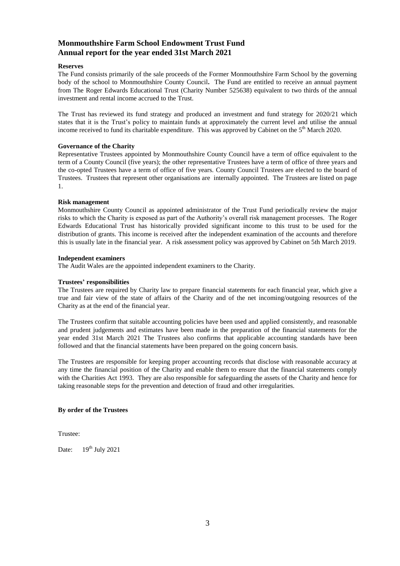#### **Reserves**

The Fund consists primarily of the sale proceeds of the Former Monmouthshire Farm School by the governing body of the school to Monmouthshire County Council**.** The Fund are entitled to receive an annual payment from The Roger Edwards Educational Trust (Charity Number 525638) equivalent to two thirds of the annual investment and rental income accrued to the Trust.

The Trust has reviewed its fund strategy and produced an investment and fund strategy for 2020/21 which states that it is the Trust's policy to maintain funds at approximately the current level and utilise the annual income received to fund its charitable expenditure. This was approved by Cabinet on the  $5<sup>th</sup>$  March 2020.

### **Governance of the Charity**

Representative Trustees appointed by Monmouthshire County Council have a term of office equivalent to the term of a County Council (five years); the other representative Trustees have a term of office of three years and the co-opted Trustees have a term of office of five years. County Council Trustees are elected to the board of Trustees. Trustees that represent other organisations are internally appointed. The Trustees are listed on page 1.

### **Risk management**

Monmouthshire County Council as appointed administrator of the Trust Fund periodically review the major risks to which the Charity is exposed as part of the Authority's overall risk management processes. The Roger Edwards Educational Trust has historically provided significant income to this trust to be used for the distribution of grants. This income is received after the independent examination of the accounts and therefore this is usually late in the financial year. A risk assessment policy was approved by Cabinet on 5th March 2019.

### **Independent examiners**

The Audit Wales are the appointed independent examiners to the Charity.

### **Trustees' responsibilities**

The Trustees are required by Charity law to prepare financial statements for each financial year, which give a true and fair view of the state of affairs of the Charity and of the net incoming/outgoing resources of the Charity as at the end of the financial year.

The Trustees confirm that suitable accounting policies have been used and applied consistently, and reasonable and prudent judgements and estimates have been made in the preparation of the financial statements for the year ended 31st March 2021 The Trustees also confirms that applicable accounting standards have been followed and that the financial statements have been prepared on the going concern basis.

The Trustees are responsible for keeping proper accounting records that disclose with reasonable accuracy at any time the financial position of the Charity and enable them to ensure that the financial statements comply with the Charities Act 1993. They are also responsible for safeguarding the assets of the Charity and hence for taking reasonable steps for the prevention and detection of fraud and other irregularities.

### **By order of the Trustees**

Trustee:

Date:  $19^{th}$  July 2021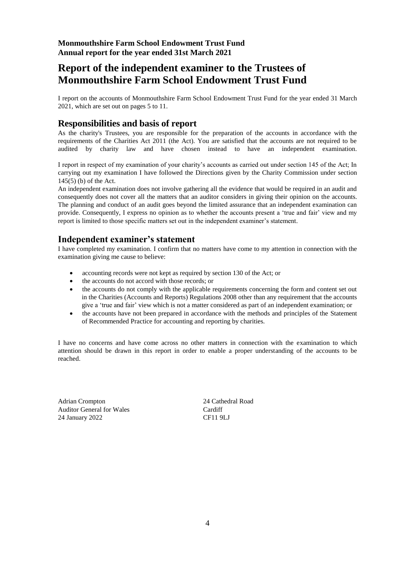# **Report of the independent examiner to the Trustees of Monmouthshire Farm School Endowment Trust Fund**

I report on the accounts of Monmouthshire Farm School Endowment Trust Fund for the year ended 31 March 2021, which are set out on pages 5 to 11.

# **Responsibilities and basis of report**

As the charity's Trustees, you are responsible for the preparation of the accounts in accordance with the requirements of the Charities Act 2011 (the Act). You are satisfied that the accounts are not required to be audited by charity law and have chosen instead to have an independent examination.

I report in respect of my examination of your charity's accounts as carried out under section 145 of the Act; In carrying out my examination I have followed the Directions given by the Charity Commission under section 145(5) (b) of the Act.

An independent examination does not involve gathering all the evidence that would be required in an audit and consequently does not cover all the matters that an auditor considers in giving their opinion on the accounts. The planning and conduct of an audit goes beyond the limited assurance that an independent examination can provide. Consequently, I express no opinion as to whether the accounts present a 'true and fair' view and my report is limited to those specific matters set out in the independent examiner's statement.

## **Independent examiner's statement**

I have completed my examination. I confirm that no matters have come to my attention in connection with the examination giving me cause to believe:

- accounting records were not kept as required by section 130 of the Act; or
- the accounts do not accord with those records; or
- the accounts do not comply with the applicable requirements concerning the form and content set out in the Charities (Accounts and Reports) Regulations 2008 other than any requirement that the accounts give a 'true and fair' view which is not a matter considered as part of an independent examination; or
- the accounts have not been prepared in accordance with the methods and principles of the Statement of Recommended Practice for accounting and reporting by charities.

I have no concerns and have come across no other matters in connection with the examination to which attention should be drawn in this report in order to enable a proper understanding of the accounts to be reached.

Adrian Crompton 24 Cathedral Road Auditor General for Wales Cardiff 24 January 2022 CF11 9LJ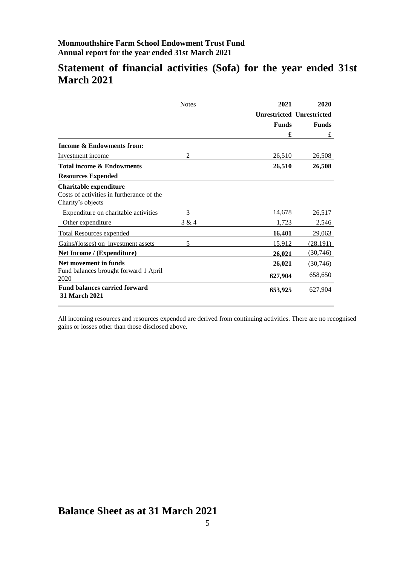# **Statement of financial activities (Sofa) for the year ended 31st March 2021**

|                                                                                          | <b>Notes</b><br>2021 |              | 2020                             |  |
|------------------------------------------------------------------------------------------|----------------------|--------------|----------------------------------|--|
|                                                                                          |                      |              | <b>Unrestricted Unrestricted</b> |  |
|                                                                                          |                      | <b>Funds</b> | <b>Funds</b>                     |  |
|                                                                                          |                      | £            | £                                |  |
| <b>Income &amp; Endowments from:</b>                                                     |                      |              |                                  |  |
| Investment income                                                                        | 2                    | 26,510       | 26,508                           |  |
| <b>Total income &amp; Endowments</b>                                                     |                      | 26,510       | 26,508                           |  |
| <b>Resources Expended</b>                                                                |                      |              |                                  |  |
| Charitable expenditure<br>Costs of activities in furtherance of the<br>Charity's objects |                      |              |                                  |  |
| Expenditure on charitable activities                                                     | 3                    | 14,678       | 26,517                           |  |
| Other expenditure                                                                        | 3 & 4                | 1,723        | 2,546                            |  |
| <b>Total Resources expended</b>                                                          |                      | 16,401       | 29,063                           |  |
| Gains/(losses) on investment assets                                                      | 5                    | 15,912       | (28, 191)                        |  |
| Net Income / (Expenditure)                                                               |                      | 26,021       | (30, 746)                        |  |
| Net movement in funds                                                                    |                      | 26,021       | (30,746)                         |  |
| Fund balances brought forward 1 April<br>2020                                            |                      | 627,904      | 658,650                          |  |
| <b>Fund balances carried forward</b><br><b>31 March 2021</b>                             |                      | 653,925      | 627,904                          |  |

All incoming resources and resources expended are derived from continuing activities. There are no recognised gains or losses other than those disclosed above.

# **Balance Sheet as at 31 March 2021**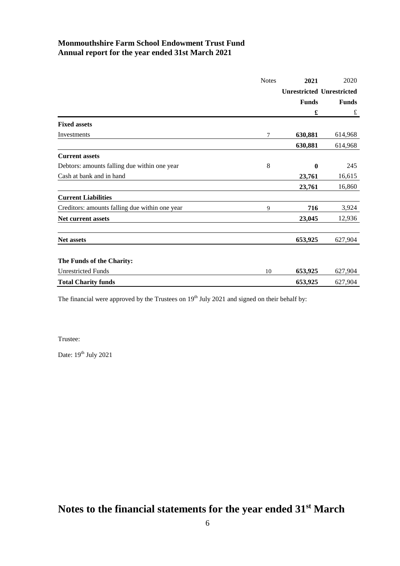|                                                | <b>Notes</b> | 2021         | 2020                             |
|------------------------------------------------|--------------|--------------|----------------------------------|
|                                                |              |              | <b>Unrestricted Unrestricted</b> |
|                                                |              | <b>Funds</b> | <b>Funds</b>                     |
|                                                |              | £            | £                                |
| <b>Fixed assets</b>                            |              |              |                                  |
| Investments                                    | 7            | 630,881      | 614,968                          |
|                                                |              | 630,881      | 614,968                          |
| <b>Current assets</b>                          |              |              |                                  |
| Debtors: amounts falling due within one year   | 8            | $\bf{0}$     | 245                              |
| Cash at bank and in hand                       |              | 23,761       | 16,615                           |
|                                                |              | 23,761       | 16,860                           |
| <b>Current Liabilities</b>                     |              |              |                                  |
| Creditors: amounts falling due within one year | 9            | 716          | 3,924                            |
| Net current assets                             |              | 23,045       | 12,936                           |
| <b>Net assets</b>                              |              | 653,925      | 627,904                          |
| The Funds of the Charity:                      |              |              |                                  |
| <b>Unrestricted Funds</b>                      | 10           | 653,925      | 627,904                          |
| <b>Total Charity funds</b>                     |              | 653,925      | 627,904                          |

The financial were approved by the Trustees on  $19<sup>th</sup>$  July 2021 and signed on their behalf by:

Trustee:

Date:  $19^{\text{th}}$  July 2021

**Notes to the financial statements for the year ended 31st March**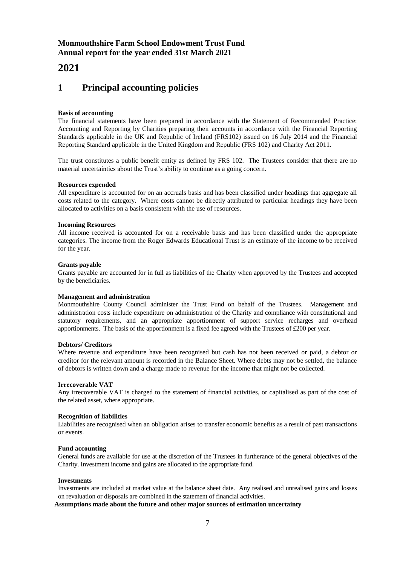# **2021**

# **1 Principal accounting policies**

### **Basis of accounting**

The financial statements have been prepared in accordance with the Statement of Recommended Practice: Accounting and Reporting by Charities preparing their accounts in accordance with the Financial Reporting Standards applicable in the UK and Republic of Ireland (FRS102) issued on 16 July 2014 and the Financial Reporting Standard applicable in the United Kingdom and Republic (FRS 102) and Charity Act 2011.

The trust constitutes a public benefit entity as defined by FRS 102. The Trustees consider that there are no material uncertainties about the Trust's ability to continue as a going concern.

### **Resources expended**

All expenditure is accounted for on an accruals basis and has been classified under headings that aggregate all costs related to the category. Where costs cannot be directly attributed to particular headings they have been allocated to activities on a basis consistent with the use of resources.

### **Incoming Resources**

All income received is accounted for on a receivable basis and has been classified under the appropriate categories. The income from the Roger Edwards Educational Trust is an estimate of the income to be received for the year.

### **Grants payable**

Grants payable are accounted for in full as liabilities of the Charity when approved by the Trustees and accepted by the beneficiaries.

#### **Management and administration**

Monmouthshire County Council administer the Trust Fund on behalf of the Trustees. Management and administration costs include expenditure on administration of the Charity and compliance with constitutional and statutory requirements, and an appropriate apportionment of support service recharges and overhead apportionments. The basis of the apportionment is a fixed fee agreed with the Trustees of £200 per year.

#### **Debtors/ Creditors**

Where revenue and expenditure have been recognised but cash has not been received or paid, a debtor or creditor for the relevant amount is recorded in the Balance Sheet. Where debts may not be settled, the balance of debtors is written down and a charge made to revenue for the income that might not be collected.

#### **Irrecoverable VAT**

Any irrecoverable VAT is charged to the statement of financial activities, or capitalised as part of the cost of the related asset, where appropriate.

### **Recognition of liabilities**

Liabilities are recognised when an obligation arises to transfer economic benefits as a result of past transactions or events.

#### **Fund accounting**

General funds are available for use at the discretion of the Trustees in furtherance of the general objectives of the Charity. Investment income and gains are allocated to the appropriate fund.

#### **Investments**

Investments are included at market value at the balance sheet date. Any realised and unrealised gains and losses on revaluation or disposals are combined in the statement of financial activities.

### **Assumptions made about the future and other major sources of estimation uncertainty**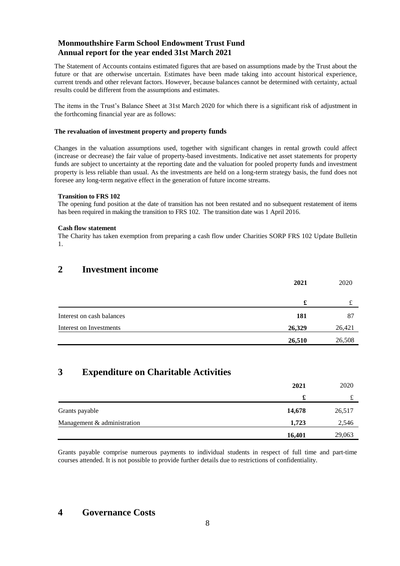The Statement of Accounts contains estimated figures that are based on assumptions made by the Trust about the future or that are otherwise uncertain. Estimates have been made taking into account historical experience, current trends and other relevant factors. However, because balances cannot be determined with certainty, actual results could be different from the assumptions and estimates.

The items in the Trust's Balance Sheet at 31st March 2020 for which there is a significant risk of adjustment in the forthcoming financial year are as follows:

### **The revaluation of investment property and property funds**

Changes in the valuation assumptions used, together with significant changes in rental growth could affect (increase or decrease) the fair value of property-based investments. Indicative net asset statements for property funds are subject to uncertainty at the reporting date and the valuation for pooled property funds and investment property is less reliable than usual. As the investments are held on a long-term strategy basis, the fund does not foresee any long-term negative effect in the generation of future income streams.

### **Transition to FRS 102**

The opening fund position at the date of transition has not been restated and no subsequent restatement of items has been required in making the transition to FRS 102. The transition date was 1 April 2016.

### **Cash flow statement**

The Charity has taken exemption from preparing a cash flow under Charities SORP FRS 102 Update Bulletin 1.

## **2 Investment income**

|                           | 2021   | 2020   |
|---------------------------|--------|--------|
|                           | £      |        |
| Interest on cash balances | 181    | 87     |
| Interest on Investments   | 26,329 | 26,421 |
|                           | 26,510 | 26,508 |

### **3 Expenditure on Charitable Activities**

|                             | 2021   | 2020   |
|-----------------------------|--------|--------|
|                             | £      | £      |
| Grants payable              | 14,678 | 26,517 |
| Management & administration | 1,723  | 2,546  |
|                             | 16,401 | 29,063 |

Grants payable comprise numerous payments to individual students in respect of full time and part-time courses attended. It is not possible to provide further details due to restrictions of confidentiality.

### **4 Governance Costs**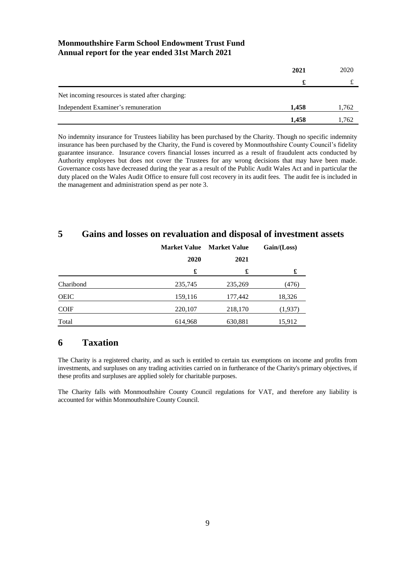|                                                  | 2021  | 2020  |
|--------------------------------------------------|-------|-------|
|                                                  |       |       |
| Net incoming resources is stated after charging: |       |       |
| Independent Examiner's remuneration              | 1.458 | 1,762 |
|                                                  | 1,458 | l.762 |

No indemnity insurance for Trustees liability has been purchased by the Charity. Though no specific indemnity insurance has been purchased by the Charity, the Fund is covered by Monmouthshire County Council's fidelity guarantee insurance. Insurance covers financial losses incurred as a result of fraudulent acts conducted by Authority employees but does not cover the Trustees for any wrong decisions that may have been made. Governance costs have decreased during the year as a result of the Public Audit Wales Act and in particular the duty placed on the Wales Audit Office to ensure full cost recovery in its audit fees. The audit fee is included in the management and administration spend as per note 3.

# **5 Gains and losses on revaluation and disposal of investment assets**

|             | <b>Market Value</b> | <b>Market Value</b> | Gain / (Loss) |  |
|-------------|---------------------|---------------------|---------------|--|
|             | 2020                | 2021                |               |  |
|             | £                   | £                   | £             |  |
| Charibond   | 235,745             | 235,269             | (476)         |  |
| <b>OEIC</b> | 159,116             | 177,442             | 18,326        |  |
| <b>COIF</b> | 220,107             | 218,170             | (1,937)       |  |
| Total       | 614,968             | 630,881             | 15,912        |  |

### **6 Taxation**

The Charity is a registered charity, and as such is entitled to certain tax exemptions on income and profits from investments, and surpluses on any trading activities carried on in furtherance of the Charity's primary objectives, if these profits and surpluses are applied solely for charitable purposes.

The Charity falls with Monmouthshire County Council regulations for VAT, and therefore any liability is accounted for within Monmouthshire County Council.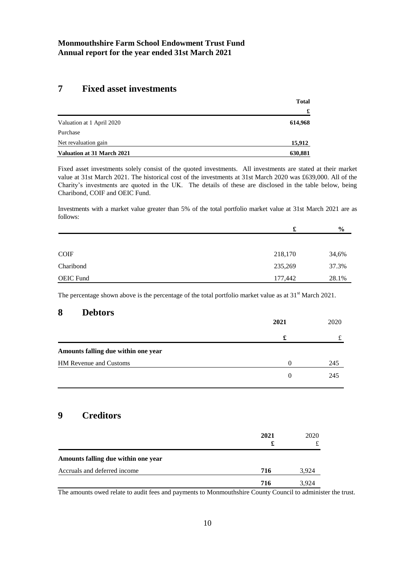## **7 Fixed asset investments**

| <b>Total</b> |
|--------------|
| £            |
| 614,968      |
|              |
| 15,912       |
| 630,881      |
|              |

Fixed asset investments solely consist of the quoted investments. All investments are stated at their market value at 31st March 2021. The historical cost of the investments at 31st March 2020 was £639,000. All of the Charity's investments are quoted in the UK. The details of these are disclosed in the table below, being Charibond, COIF and OEIC Fund.

Investments with a market value greater than 5% of the total portfolio market value at 31st March 2021 are as follows:

|                  | £       | $\frac{0}{0}$ |
|------------------|---------|---------------|
|                  |         |               |
| <b>COIF</b>      | 218,170 | 34,6%         |
| Charibond        | 235,269 | 37.3%         |
| <b>OEIC Fund</b> | 177,442 | 28.1%         |

The percentage shown above is the percentage of the total portfolio market value as at 31<sup>st</sup> March 2021.

### **8 Debtors**

|                                     | 2021     | 2020 |
|-------------------------------------|----------|------|
|                                     | £        |      |
| Amounts falling due within one year |          |      |
| HM Revenue and Customs              | $\Omega$ | 245  |
|                                     | $\Omega$ | 245  |

# **9 Creditors**

|                                     | 2021<br>£ | 2020  |
|-------------------------------------|-----------|-------|
| Amounts falling due within one year |           |       |
| Accruals and deferred income        | 716       | 3.924 |
|                                     | 716       | 3924  |

The amounts owed relate to audit fees and payments to Monmouthshire County Council to administer the trust.